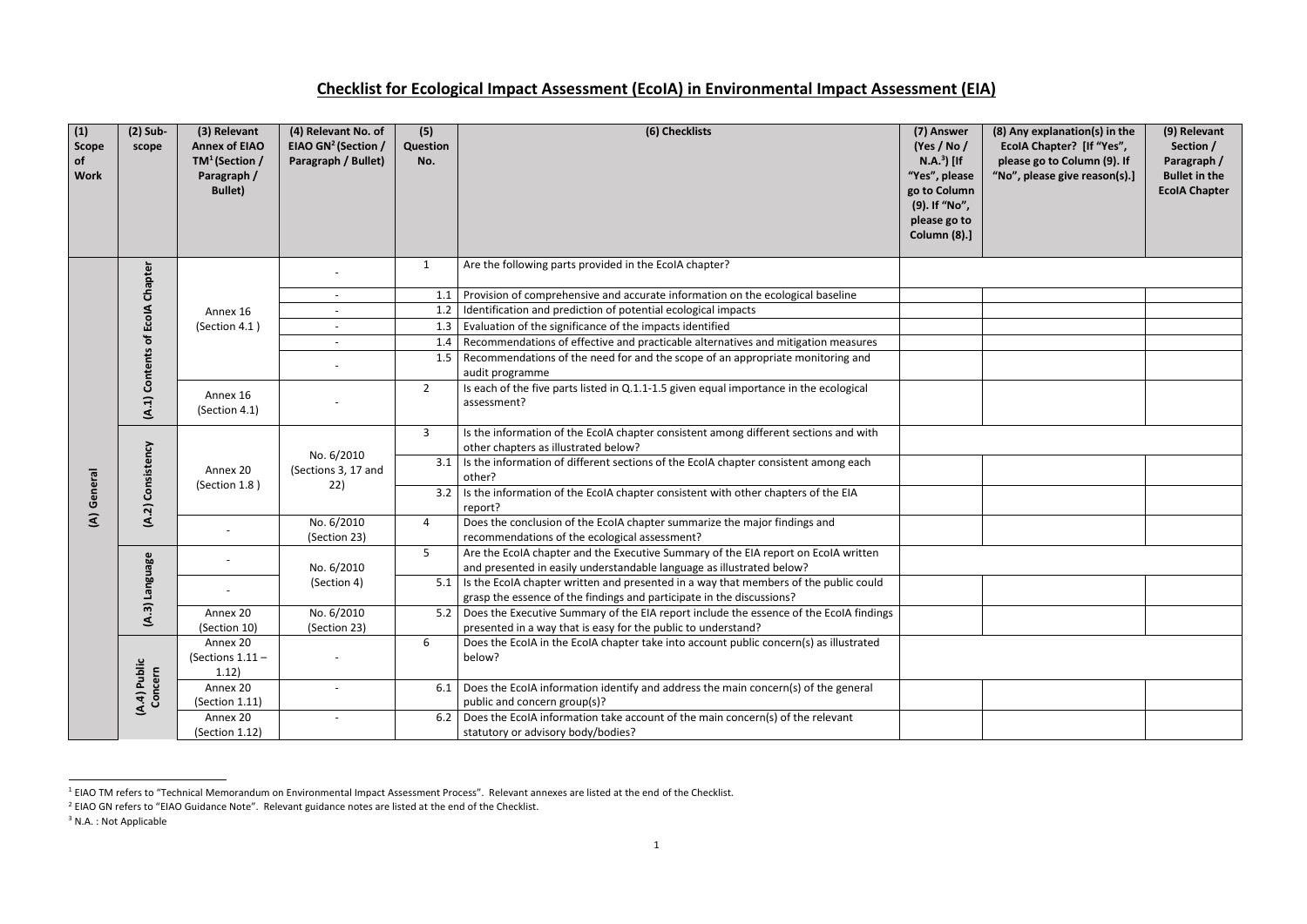| (1)<br>Scope<br>of<br><b>Work</b> | $(2)$ Sub-<br>scope     | (3) Relevant<br><b>Annex of EIAO</b><br>$TM^1$ (Section /<br>Paragraph /<br><b>Bullet</b> ) | (4) Relevant No. of<br>EIAO GN <sup>2</sup> (Section /<br>Paragraph / Bullet) | (5)<br>Question<br>No. | (6) Checklists                                                                                                                                                      | (7) Answer<br>(Yes / No /<br>$N.A.3$ [If<br>"Yes", please<br>go to Column<br>(9). If "No",<br>please go to<br>Column (8).] | (8) Any explanation(s) in the<br>EcolA Chapter? [If "Yes",<br>please go to Column (9). If<br>"No", please give reason(s).] | (9) Relevant<br>Section /<br>Paragraph /<br><b>Bullet in the</b><br><b>EcolA Chapter</b> |
|-----------------------------------|-------------------------|---------------------------------------------------------------------------------------------|-------------------------------------------------------------------------------|------------------------|---------------------------------------------------------------------------------------------------------------------------------------------------------------------|----------------------------------------------------------------------------------------------------------------------------|----------------------------------------------------------------------------------------------------------------------------|------------------------------------------------------------------------------------------|
|                                   | Chapter                 |                                                                                             |                                                                               | $\mathbf{1}$           | Are the following parts provided in the EcolA chapter?                                                                                                              |                                                                                                                            |                                                                                                                            |                                                                                          |
|                                   |                         |                                                                                             |                                                                               | 1.1                    | Provision of comprehensive and accurate information on the ecological baseline                                                                                      |                                                                                                                            |                                                                                                                            |                                                                                          |
|                                   |                         | Annex 16<br>(Section 4.1)                                                                   |                                                                               | 1.2                    | Identification and prediction of potential ecological impacts                                                                                                       |                                                                                                                            |                                                                                                                            |                                                                                          |
|                                   | of EcolA                |                                                                                             |                                                                               | 1.3                    | Evaluation of the significance of the impacts identified                                                                                                            |                                                                                                                            |                                                                                                                            |                                                                                          |
|                                   | <b>Contents</b>         |                                                                                             |                                                                               | 1.4                    | Recommendations of effective and practicable alternatives and mitigation measures                                                                                   |                                                                                                                            |                                                                                                                            |                                                                                          |
|                                   |                         |                                                                                             |                                                                               | 1.5                    | Recommendations of the need for and the scope of an appropriate monitoring and<br>audit programme                                                                   |                                                                                                                            |                                                                                                                            |                                                                                          |
|                                   | (A.1)                   | Annex 16<br>(Section 4.1)                                                                   |                                                                               | $2^{\circ}$            | Is each of the five parts listed in Q.1.1-1.5 given equal importance in the ecological<br>assessment?                                                               |                                                                                                                            |                                                                                                                            |                                                                                          |
|                                   |                         | Annex 20<br>(Section 1.8)                                                                   | No. 6/2010                                                                    | $\mathbf{3}$           | Is the information of the EcoIA chapter consistent among different sections and with<br>other chapters as illustrated below?                                        |                                                                                                                            |                                                                                                                            |                                                                                          |
|                                   | Consistency             |                                                                                             | (Sections 3, 17 and                                                           | 3.1                    | Is the information of different sections of the EcoIA chapter consistent among each<br>other?                                                                       |                                                                                                                            |                                                                                                                            |                                                                                          |
| General                           |                         |                                                                                             | 22)                                                                           | 3.2                    | Is the information of the EcoIA chapter consistent with other chapters of the EIA<br>report?                                                                        |                                                                                                                            |                                                                                                                            |                                                                                          |
| $\widehat{\mathcal{E}}$           | (A.2)                   |                                                                                             | No. 6/2010                                                                    | 4                      | Does the conclusion of the EcolA chapter summarize the major findings and                                                                                           |                                                                                                                            |                                                                                                                            |                                                                                          |
|                                   |                         |                                                                                             | (Section 23)                                                                  |                        | recommendations of the ecological assessment?                                                                                                                       |                                                                                                                            |                                                                                                                            |                                                                                          |
|                                   |                         |                                                                                             |                                                                               | 5                      | Are the EcolA chapter and the Executive Summary of the EIA report on EcolA written                                                                                  |                                                                                                                            |                                                                                                                            |                                                                                          |
|                                   |                         |                                                                                             | No. 6/2010                                                                    |                        | and presented in easily understandable language as illustrated below?                                                                                               |                                                                                                                            |                                                                                                                            |                                                                                          |
|                                   | <b>Language</b>         |                                                                                             | (Section 4)                                                                   |                        | 5.1   Is the EcolA chapter written and presented in a way that members of the public could                                                                          |                                                                                                                            |                                                                                                                            |                                                                                          |
|                                   | $\widehat{\mathbf{a}}$  | Annex 20                                                                                    | No. 6/2010                                                                    |                        | grasp the essence of the findings and participate in the discussions?<br>5.2 Does the Executive Summary of the EIA report include the essence of the EcolA findings |                                                                                                                            |                                                                                                                            |                                                                                          |
|                                   | द                       | (Section 10)                                                                                | (Section 23)                                                                  |                        | presented in a way that is easy for the public to understand?                                                                                                       |                                                                                                                            |                                                                                                                            |                                                                                          |
|                                   |                         | Annex 20                                                                                    |                                                                               | 6                      | Does the EcolA in the EcolA chapter take into account public concern(s) as illustrated                                                                              |                                                                                                                            |                                                                                                                            |                                                                                          |
|                                   |                         | (Sections $1.11 -$                                                                          |                                                                               |                        | below?                                                                                                                                                              |                                                                                                                            |                                                                                                                            |                                                                                          |
|                                   |                         | 1.12)                                                                                       |                                                                               |                        |                                                                                                                                                                     |                                                                                                                            |                                                                                                                            |                                                                                          |
|                                   | (A.4) Public<br>Concern | Annex 20                                                                                    |                                                                               |                        | 6.1   Does the EcolA information identify and address the main concern(s) of the general                                                                            |                                                                                                                            |                                                                                                                            |                                                                                          |
|                                   |                         | (Section 1.11)                                                                              |                                                                               |                        | public and concern group(s)?                                                                                                                                        |                                                                                                                            |                                                                                                                            |                                                                                          |
|                                   |                         | Annex 20                                                                                    |                                                                               |                        | 6.2 Does the EcolA information take account of the main concern(s) of the relevant                                                                                  |                                                                                                                            |                                                                                                                            |                                                                                          |
|                                   |                         | (Section 1.12)                                                                              |                                                                               |                        | statutory or advisory body/bodies?                                                                                                                                  |                                                                                                                            |                                                                                                                            |                                                                                          |

 $1$  EIAO TM refers to "Technical Memorandum on Environmental Impact Assessment Process". Relevant annexes are listed at the end of the Checklist.

## **Checklist for Ecological Impact Assessment (EcoIA) in Environmental Impact Assessment (EIA)**

 $\overline{\phantom{a}}$ 

<sup>2</sup> EIAO GN refers to "EIAO Guidance Note". Relevant guidance notes are listed at the end of the Checklist.

<sup>&</sup>lt;sup>3</sup> N.A. : Not Applicable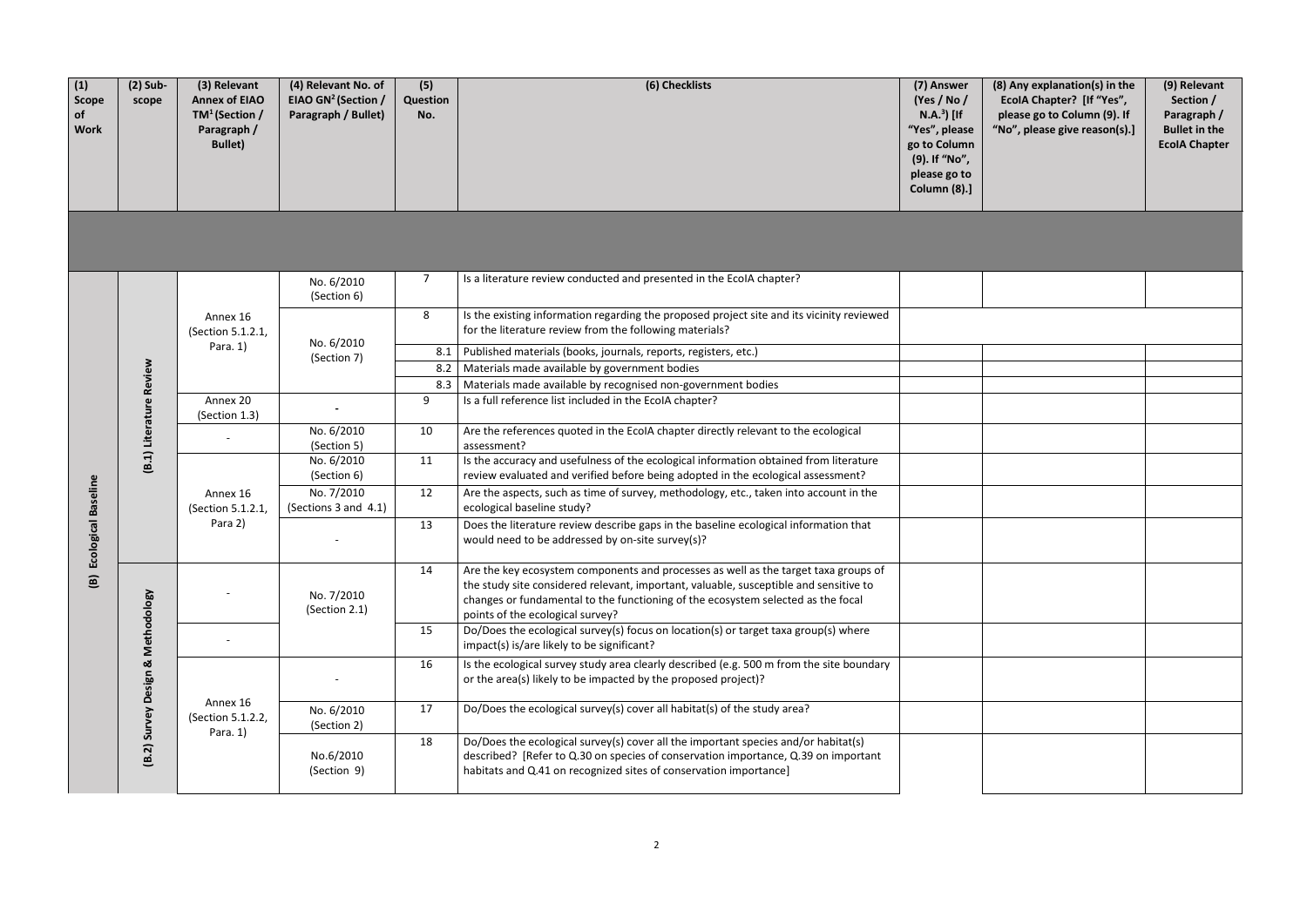| (8) Any explanation(s) in the<br>EcolA Chapter? [If "Yes",<br>please go to Column (9). If<br>"No", please give reason(s).] | (9) Relevant<br>Section /<br>Paragraph /<br><b>Bullet in the</b><br><b>EcolA Chapter</b> |
|----------------------------------------------------------------------------------------------------------------------------|------------------------------------------------------------------------------------------|
|                                                                                                                            |                                                                                          |
|                                                                                                                            |                                                                                          |
|                                                                                                                            |                                                                                          |
|                                                                                                                            |                                                                                          |
|                                                                                                                            |                                                                                          |
|                                                                                                                            |                                                                                          |
|                                                                                                                            |                                                                                          |
|                                                                                                                            |                                                                                          |
|                                                                                                                            |                                                                                          |
|                                                                                                                            |                                                                                          |
|                                                                                                                            |                                                                                          |
|                                                                                                                            |                                                                                          |
|                                                                                                                            |                                                                                          |
|                                                                                                                            |                                                                                          |

| (1)<br><b>Scope</b><br>of<br><b>Work</b> | $(2)$ Sub-<br>scope                                                                              | (3) Relevant<br><b>Annex of EIAO</b><br>$TM^1$ (Section /<br>Paragraph /<br><b>Bullet)</b> | (4) Relevant No. of<br>EIAO GN <sup>2</sup> (Section /<br>Paragraph / Bullet) | (5)<br>Question<br>No.   | (6) Checklists                                                                                                                                                                                                                                                                                       | (7) Answer<br>(Yes / No /<br>$N.A.3$ [If<br>"Yes", please<br>go to Column<br>(9). If "No",<br>please go to<br>Column (8).]                                                                                                                    |                                                                                                                                                                           |                                                                                                                     |  |  |   |                                                                                                                                                      |                                                                                                                                          |
|------------------------------------------|--------------------------------------------------------------------------------------------------|--------------------------------------------------------------------------------------------|-------------------------------------------------------------------------------|--------------------------|------------------------------------------------------------------------------------------------------------------------------------------------------------------------------------------------------------------------------------------------------------------------------------------------------|-----------------------------------------------------------------------------------------------------------------------------------------------------------------------------------------------------------------------------------------------|---------------------------------------------------------------------------------------------------------------------------------------------------------------------------|---------------------------------------------------------------------------------------------------------------------|--|--|---|------------------------------------------------------------------------------------------------------------------------------------------------------|------------------------------------------------------------------------------------------------------------------------------------------|
|                                          |                                                                                                  |                                                                                            |                                                                               |                          |                                                                                                                                                                                                                                                                                                      |                                                                                                                                                                                                                                               |                                                                                                                                                                           |                                                                                                                     |  |  |   |                                                                                                                                                      |                                                                                                                                          |
|                                          |                                                                                                  |                                                                                            | No. 6/2010<br>(Section 6)                                                     | $\overline{7}$           | Is a literature review conducted and presented in the EcolA chapter?                                                                                                                                                                                                                                 |                                                                                                                                                                                                                                               |                                                                                                                                                                           |                                                                                                                     |  |  |   |                                                                                                                                                      |                                                                                                                                          |
|                                          |                                                                                                  | Annex 16<br>(Section 5.1.2.1,<br>Para. 1)                                                  |                                                                               |                          |                                                                                                                                                                                                                                                                                                      |                                                                                                                                                                                                                                               |                                                                                                                                                                           |                                                                                                                     |  |  | 8 | Is the existing information regarding the proposed project site and its vicinity reviewed<br>for the literature review from the following materials? |                                                                                                                                          |
|                                          |                                                                                                  |                                                                                            | No. 6/2010<br>(Section 7)                                                     | 8.1                      | Published materials (books, journals, reports, registers, etc.)                                                                                                                                                                                                                                      |                                                                                                                                                                                                                                               |                                                                                                                                                                           |                                                                                                                     |  |  |   |                                                                                                                                                      |                                                                                                                                          |
|                                          |                                                                                                  |                                                                                            |                                                                               | 8.2                      | Materials made available by government bodies                                                                                                                                                                                                                                                        |                                                                                                                                                                                                                                               |                                                                                                                                                                           |                                                                                                                     |  |  |   |                                                                                                                                                      |                                                                                                                                          |
|                                          | (B.1) Literature Review<br>Annex 20<br>(Section 1.3)<br>Annex 16<br>(Section 5.1.2.1,<br>Para 2) |                                                                                            |                                                                               | 8.3                      | Materials made available by recognised non-government bodies                                                                                                                                                                                                                                         |                                                                                                                                                                                                                                               |                                                                                                                                                                           |                                                                                                                     |  |  |   |                                                                                                                                                      |                                                                                                                                          |
|                                          |                                                                                                  |                                                                                            |                                                                               | 9                        | Is a full reference list included in the EcoIA chapter?                                                                                                                                                                                                                                              |                                                                                                                                                                                                                                               |                                                                                                                                                                           |                                                                                                                     |  |  |   |                                                                                                                                                      |                                                                                                                                          |
|                                          |                                                                                                  |                                                                                            | No. 6/2010<br>(Section 5)                                                     | 10                       | Are the references quoted in the EcoIA chapter directly relevant to the ecological<br>assessment?                                                                                                                                                                                                    |                                                                                                                                                                                                                                               |                                                                                                                                                                           |                                                                                                                     |  |  |   |                                                                                                                                                      |                                                                                                                                          |
|                                          |                                                                                                  |                                                                                            |                                                                               |                          | No. 6/2010<br>(Section 6)                                                                                                                                                                                                                                                                            | 11                                                                                                                                                                                                                                            | Is the accuracy and usefulness of the ecological information obtained from literature<br>review evaluated and verified before being adopted in the ecological assessment? |                                                                                                                     |  |  |   |                                                                                                                                                      |                                                                                                                                          |
|                                          |                                                                                                  |                                                                                            |                                                                               |                          |                                                                                                                                                                                                                                                                                                      | No. 7/2010<br>(Sections 3 and 4.1)                                                                                                                                                                                                            | 12                                                                                                                                                                        | Are the aspects, such as time of survey, methodology, etc., taken into account in the<br>ecological baseline study? |  |  |   |                                                                                                                                                      |                                                                                                                                          |
| cological Baseline                       |                                                                                                  |                                                                                            |                                                                               |                          |                                                                                                                                                                                                                                                                                                      |                                                                                                                                                                                                                                               |                                                                                                                                                                           |                                                                                                                     |  |  |   | 13                                                                                                                                                   | Does the literature review describe gaps in the baseline ecological information that<br>would need to be addressed by on-site survey(s)? |
| ш<br>$\mathbf{B}$                        |                                                                                                  |                                                                                            | No. 7/2010<br>(Section 2.1)                                                   | 14                       | Are the key ecosystem components and processes as well as the target taxa groups of<br>the study site considered relevant, important, valuable, susceptible and sensitive to<br>changes or fundamental to the functioning of the ecosystem selected as the focal<br>points of the ecological survey? |                                                                                                                                                                                                                                               |                                                                                                                                                                           |                                                                                                                     |  |  |   |                                                                                                                                                      |                                                                                                                                          |
|                                          |                                                                                                  |                                                                                            |                                                                               | 15                       | Do/Does the ecological survey(s) focus on location(s) or target taxa group(s) where<br>impact(s) is/are likely to be significant?                                                                                                                                                                    |                                                                                                                                                                                                                                               |                                                                                                                                                                           |                                                                                                                     |  |  |   |                                                                                                                                                      |                                                                                                                                          |
|                                          | (B.2) Survey Design & Methodology                                                                |                                                                                            |                                                                               | 16                       | Is the ecological survey study area clearly described (e.g. 500 m from the site boundary<br>or the area(s) likely to be impacted by the proposed project)?                                                                                                                                           |                                                                                                                                                                                                                                               |                                                                                                                                                                           |                                                                                                                     |  |  |   |                                                                                                                                                      |                                                                                                                                          |
|                                          |                                                                                                  | Annex 16<br>(Section 5.1.2.2,                                                              | No. 6/2010<br>(Section 2)                                                     | 17                       | Do/Does the ecological survey(s) cover all habitat(s) of the study area?                                                                                                                                                                                                                             |                                                                                                                                                                                                                                               |                                                                                                                                                                           |                                                                                                                     |  |  |   |                                                                                                                                                      |                                                                                                                                          |
|                                          |                                                                                                  |                                                                                            | Para. 1)                                                                      | No.6/2010<br>(Section 9) | 18                                                                                                                                                                                                                                                                                                   | Do/Does the ecological survey(s) cover all the important species and/or habitat(s)<br>described? [Refer to Q.30 on species of conservation importance, Q.39 on important<br>habitats and Q.41 on recognized sites of conservation importance] |                                                                                                                                                                           |                                                                                                                     |  |  |   |                                                                                                                                                      |                                                                                                                                          |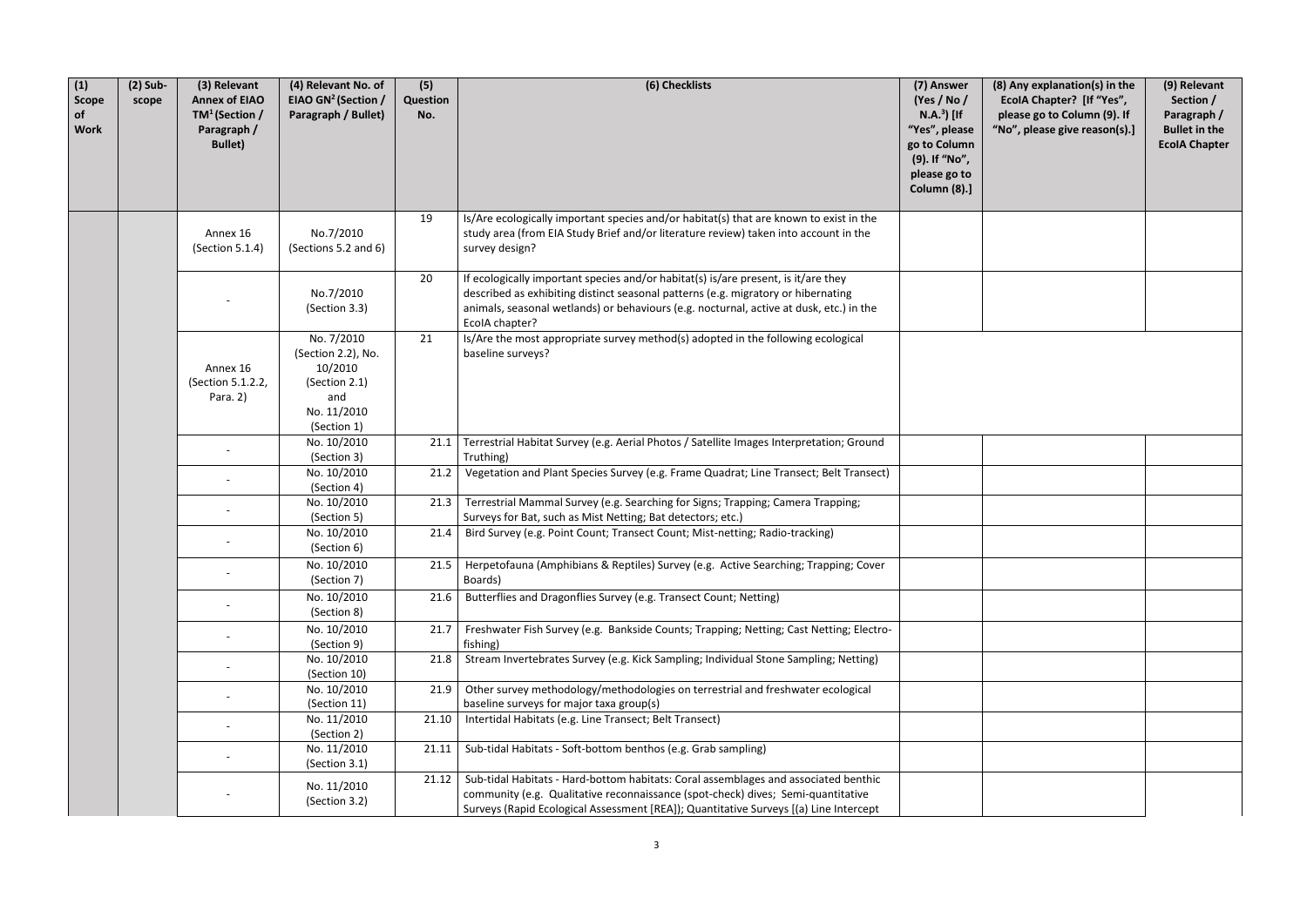| (1)<br>Scope<br>of<br><b>Work</b> | $(2)$ Sub-<br>scope | (3) Relevant<br><b>Annex of EIAO</b><br>$TM^1$ (Section /<br>Paragraph /<br><b>Bullet)</b> | (4) Relevant No. of<br>EIAO GN <sup>2</sup> (Section /<br>Paragraph / Bullet)                     | (5)<br>Question<br>No. | (6) Checklists                                                                                                                                                                                                                                                                       | (7) Answer<br>(Yes / No /<br>$N.A.3$ [If<br>"Yes", please<br>go to Column<br>(9). If "No",<br>please go to<br><b>Column (8).]</b> | (8) Any explanation(s) in the<br>EcolA Chapter? [If "Yes",<br>please go to Column (9). If<br>"No", please give reason(s).] | (9) Relevant<br>Section /<br>Paragraph /<br><b>Bullet in the</b><br><b>EcolA Chapter</b> |
|-----------------------------------|---------------------|--------------------------------------------------------------------------------------------|---------------------------------------------------------------------------------------------------|------------------------|--------------------------------------------------------------------------------------------------------------------------------------------------------------------------------------------------------------------------------------------------------------------------------------|-----------------------------------------------------------------------------------------------------------------------------------|----------------------------------------------------------------------------------------------------------------------------|------------------------------------------------------------------------------------------|
|                                   |                     | Annex 16<br>(Section 5.1.4)                                                                | No.7/2010<br>(Sections 5.2 and 6)                                                                 | 19                     | Is/Are ecologically important species and/or habitat(s) that are known to exist in the<br>study area (from EIA Study Brief and/or literature review) taken into account in the<br>survey design?                                                                                     |                                                                                                                                   |                                                                                                                            |                                                                                          |
|                                   |                     |                                                                                            | No.7/2010<br>(Section 3.3)                                                                        | 20                     | If ecologically important species and/or habitat(s) is/are present, is it/are they<br>described as exhibiting distinct seasonal patterns (e.g. migratory or hibernating<br>animals, seasonal wetlands) or behaviours (e.g. nocturnal, active at dusk, etc.) in the<br>EcolA chapter? |                                                                                                                                   |                                                                                                                            |                                                                                          |
|                                   |                     | Annex 16<br>(Section 5.1.2.2,<br>Para. 2)                                                  | No. 7/2010<br>(Section 2.2), No.<br>10/2010<br>(Section 2.1)<br>and<br>No. 11/2010<br>(Section 1) | 21                     | Is/Are the most appropriate survey method(s) adopted in the following ecological<br>baseline surveys?                                                                                                                                                                                |                                                                                                                                   |                                                                                                                            |                                                                                          |
|                                   |                     |                                                                                            | No. 10/2010<br>(Section 3)                                                                        | 21.1                   | Terrestrial Habitat Survey (e.g. Aerial Photos / Satellite Images Interpretation; Ground<br>Truthing)                                                                                                                                                                                |                                                                                                                                   |                                                                                                                            |                                                                                          |
|                                   |                     |                                                                                            | No. 10/2010<br>(Section 4)                                                                        | 21.2                   | Vegetation and Plant Species Survey (e.g. Frame Quadrat; Line Transect; Belt Transect)                                                                                                                                                                                               |                                                                                                                                   |                                                                                                                            |                                                                                          |
|                                   |                     |                                                                                            | No. 10/2010<br>(Section 5)                                                                        | 21.3                   | Terrestrial Mammal Survey (e.g. Searching for Signs; Trapping; Camera Trapping;<br>Surveys for Bat, such as Mist Netting; Bat detectors; etc.)                                                                                                                                       |                                                                                                                                   |                                                                                                                            |                                                                                          |
|                                   |                     |                                                                                            | No. 10/2010<br>(Section 6)                                                                        |                        | 21.4   Bird Survey (e.g. Point Count; Transect Count; Mist-netting; Radio-tracking)                                                                                                                                                                                                  |                                                                                                                                   |                                                                                                                            |                                                                                          |
|                                   |                     |                                                                                            | No. 10/2010<br>(Section 7)                                                                        |                        | 21.5   Herpetofauna (Amphibians & Reptiles) Survey (e.g. Active Searching; Trapping; Cover<br>Boards)                                                                                                                                                                                |                                                                                                                                   |                                                                                                                            |                                                                                          |
|                                   |                     |                                                                                            | No. 10/2010<br>(Section 8)                                                                        | 21.6                   | Butterflies and Dragonflies Survey (e.g. Transect Count; Netting)                                                                                                                                                                                                                    |                                                                                                                                   |                                                                                                                            |                                                                                          |
|                                   |                     |                                                                                            | No. 10/2010<br>(Section 9)                                                                        | 21.7                   | Freshwater Fish Survey (e.g. Bankside Counts; Trapping; Netting; Cast Netting; Electro-<br>fishing)                                                                                                                                                                                  |                                                                                                                                   |                                                                                                                            |                                                                                          |
|                                   |                     |                                                                                            | No. 10/2010<br>(Section 10)                                                                       | 21.8                   | Stream Invertebrates Survey (e.g. Kick Sampling; Individual Stone Sampling; Netting)                                                                                                                                                                                                 |                                                                                                                                   |                                                                                                                            |                                                                                          |
|                                   |                     |                                                                                            | No. 10/2010<br>(Section 11)                                                                       | 21.9                   | Other survey methodology/methodologies on terrestrial and freshwater ecological<br>baseline surveys for major taxa group(s)                                                                                                                                                          |                                                                                                                                   |                                                                                                                            |                                                                                          |
|                                   |                     |                                                                                            | No. 11/2010<br>(Section 2)                                                                        | 21.10                  | Intertidal Habitats (e.g. Line Transect; Belt Transect)                                                                                                                                                                                                                              |                                                                                                                                   |                                                                                                                            |                                                                                          |
|                                   |                     |                                                                                            | No. 11/2010<br>(Section 3.1)                                                                      | 21.11                  | Sub-tidal Habitats - Soft-bottom benthos (e.g. Grab sampling)                                                                                                                                                                                                                        |                                                                                                                                   |                                                                                                                            |                                                                                          |
|                                   |                     |                                                                                            | No. 11/2010<br>(Section 3.2)                                                                      | 21.12                  | Sub-tidal Habitats - Hard-bottom habitats: Coral assemblages and associated benthic<br>community (e.g. Qualitative reconnaissance (spot-check) dives; Semi-quantitative<br>Surveys (Rapid Ecological Assessment [REA]); Quantitative Surveys [(a) Line Intercept                     |                                                                                                                                   |                                                                                                                            |                                                                                          |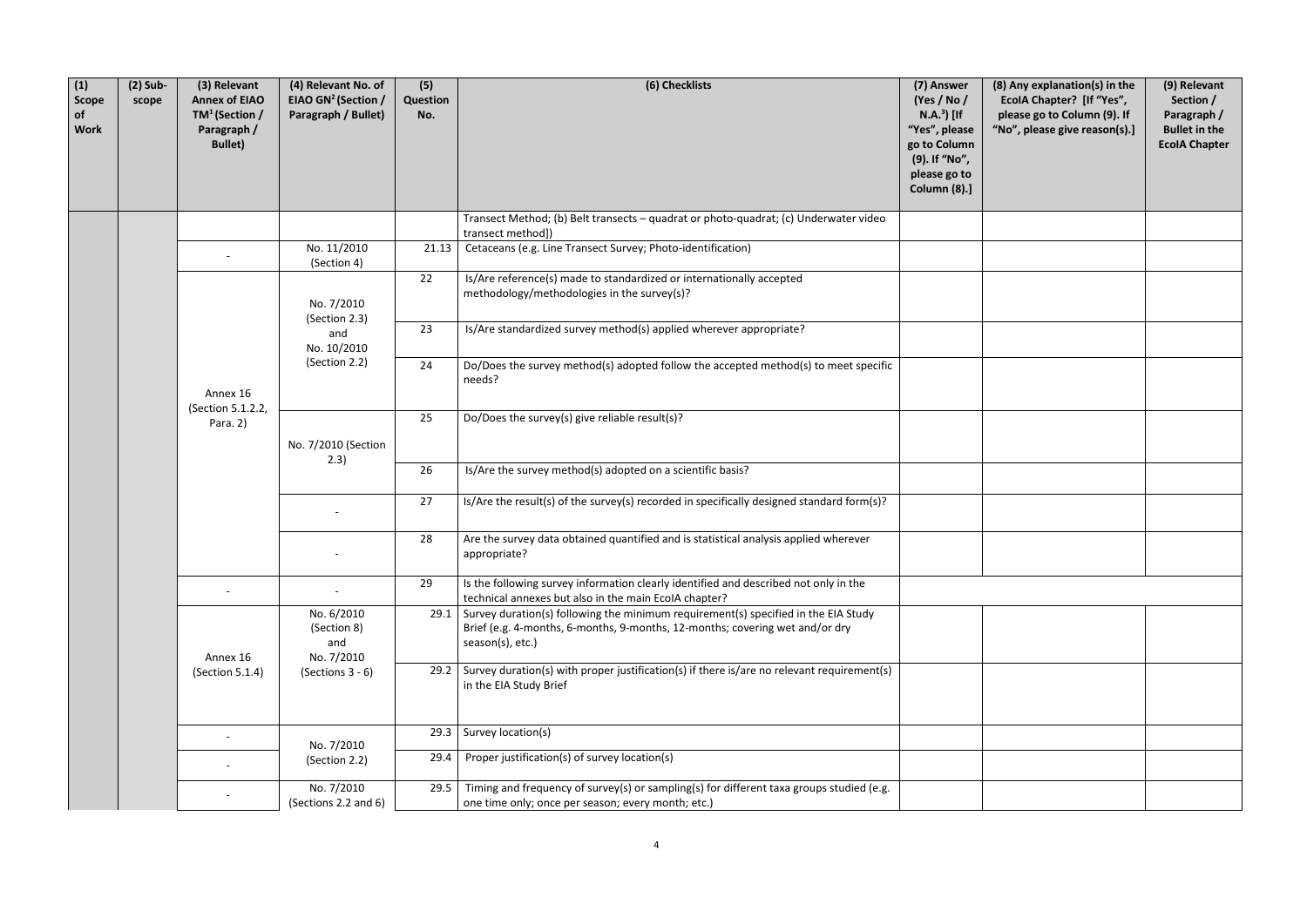| (8) Any explanation(s) in the<br>EcolA Chapter? [If "Yes",<br>please go to Column (9). If<br>"No", please give reason(s).] | (9) Relevant<br>Section /<br>Paragraph /<br><b>Bullet in the</b><br><b>EcolA Chapter</b> |
|----------------------------------------------------------------------------------------------------------------------------|------------------------------------------------------------------------------------------|
|                                                                                                                            |                                                                                          |
|                                                                                                                            |                                                                                          |
|                                                                                                                            |                                                                                          |
|                                                                                                                            |                                                                                          |
|                                                                                                                            |                                                                                          |
|                                                                                                                            |                                                                                          |
|                                                                                                                            |                                                                                          |
|                                                                                                                            |                                                                                          |
|                                                                                                                            |                                                                                          |
|                                                                                                                            |                                                                                          |
|                                                                                                                            |                                                                                          |
|                                                                                                                            |                                                                                          |
|                                                                                                                            |                                                                                          |
|                                                                                                                            |                                                                                          |
|                                                                                                                            |                                                                                          |

| (1)<br>Scope<br>of<br><b>Work</b> | $(2)$ Sub-<br>scope | (3) Relevant<br><b>Annex of EIAO</b><br>$TM^1$ (Section /<br>Paragraph /<br><b>Bullet)</b> | (4) Relevant No. of<br>EIAO GN <sup>2</sup> (Section /<br>Paragraph / Bullet) | (5)<br>Question<br>No. | (6) Checklists                                                                                                                                                                         | (7) Answer<br>(Yes / No /<br>$N.A.3$ [If<br>"Yes", please<br>go to Column<br>(9). If "No",<br>please go to<br><b>Column (8).]</b> | (8) Any explanation<br>EcolA Chapter? [It<br>please go to Colun<br>"No", please give re |  |
|-----------------------------------|---------------------|--------------------------------------------------------------------------------------------|-------------------------------------------------------------------------------|------------------------|----------------------------------------------------------------------------------------------------------------------------------------------------------------------------------------|-----------------------------------------------------------------------------------------------------------------------------------|-----------------------------------------------------------------------------------------|--|
|                                   |                     |                                                                                            |                                                                               |                        | Transect Method; (b) Belt transects - quadrat or photo-quadrat; (c) Underwater video<br>transect method])                                                                              |                                                                                                                                   |                                                                                         |  |
|                                   |                     |                                                                                            | No. 11/2010<br>(Section 4)                                                    | 21.13                  | Cetaceans (e.g. Line Transect Survey; Photo-identification)                                                                                                                            |                                                                                                                                   |                                                                                         |  |
|                                   |                     |                                                                                            | No. 7/2010<br>(Section 2.3)                                                   | 22                     | Is/Are reference(s) made to standardized or internationally accepted<br>methodology/methodologies in the survey(s)?                                                                    |                                                                                                                                   |                                                                                         |  |
|                                   |                     | Annex 16<br>(Section 5.1.2.2,<br>Para. 2)                                                  | and<br>No. 10/2010                                                            | 23                     | Is/Are standardized survey method(s) applied wherever appropriate?                                                                                                                     |                                                                                                                                   |                                                                                         |  |
|                                   |                     |                                                                                            |                                                                               | (Section 2.2)          | 24                                                                                                                                                                                     | Do/Does the survey method(s) adopted follow the accepted method(s) to meet specific<br>needs?                                     |                                                                                         |  |
|                                   |                     |                                                                                            | No. 7/2010 (Section<br>2.3)                                                   | 25                     | Do/Does the survey(s) give reliable result(s)?                                                                                                                                         |                                                                                                                                   |                                                                                         |  |
|                                   |                     |                                                                                            |                                                                               | 26                     | Is/Are the survey method(s) adopted on a scientific basis?                                                                                                                             |                                                                                                                                   |                                                                                         |  |
|                                   |                     |                                                                                            |                                                                               |                        | 27                                                                                                                                                                                     | Is/Are the result(s) of the survey(s) recorded in specifically designed standard form(s)?                                         |                                                                                         |  |
|                                   |                     |                                                                                            |                                                                               | 28                     | Are the survey data obtained quantified and is statistical analysis applied wherever<br>appropriate?                                                                                   |                                                                                                                                   |                                                                                         |  |
|                                   |                     |                                                                                            |                                                                               | 29                     | Is the following survey information clearly identified and described not only in the<br>technical annexes but also in the main EcoIA chapter?                                          |                                                                                                                                   |                                                                                         |  |
|                                   |                     | Annex 16                                                                                   | No. 6/2010<br>(Section 8)<br>and<br>No. 7/2010                                | 29.1                   | Survey duration(s) following the minimum requirement(s) specified in the EIA Study<br>Brief (e.g. 4-months, 6-months, 9-months, 12-months; covering wet and/or dry<br>season(s), etc.) |                                                                                                                                   |                                                                                         |  |
|                                   |                     | (Section 5.1.4)                                                                            | (Sections $3 - 6$ )                                                           |                        | 29.2 Survey duration(s) with proper justification(s) if there is/are no relevant requirement(s)<br>in the EIA Study Brief                                                              |                                                                                                                                   |                                                                                         |  |
|                                   |                     |                                                                                            | No. 7/2010                                                                    | 29.3                   | Survey location(s)                                                                                                                                                                     |                                                                                                                                   |                                                                                         |  |
|                                   |                     |                                                                                            | (Section 2.2)                                                                 | 29.4                   | Proper justification(s) of survey location(s)                                                                                                                                          |                                                                                                                                   |                                                                                         |  |
|                                   |                     |                                                                                            | No. 7/2010<br>(Sections 2.2 and 6)                                            | 29.5                   | Timing and frequency of survey(s) or sampling(s) for different taxa groups studied (e.g.<br>one time only; once per season; every month; etc.)                                         |                                                                                                                                   |                                                                                         |  |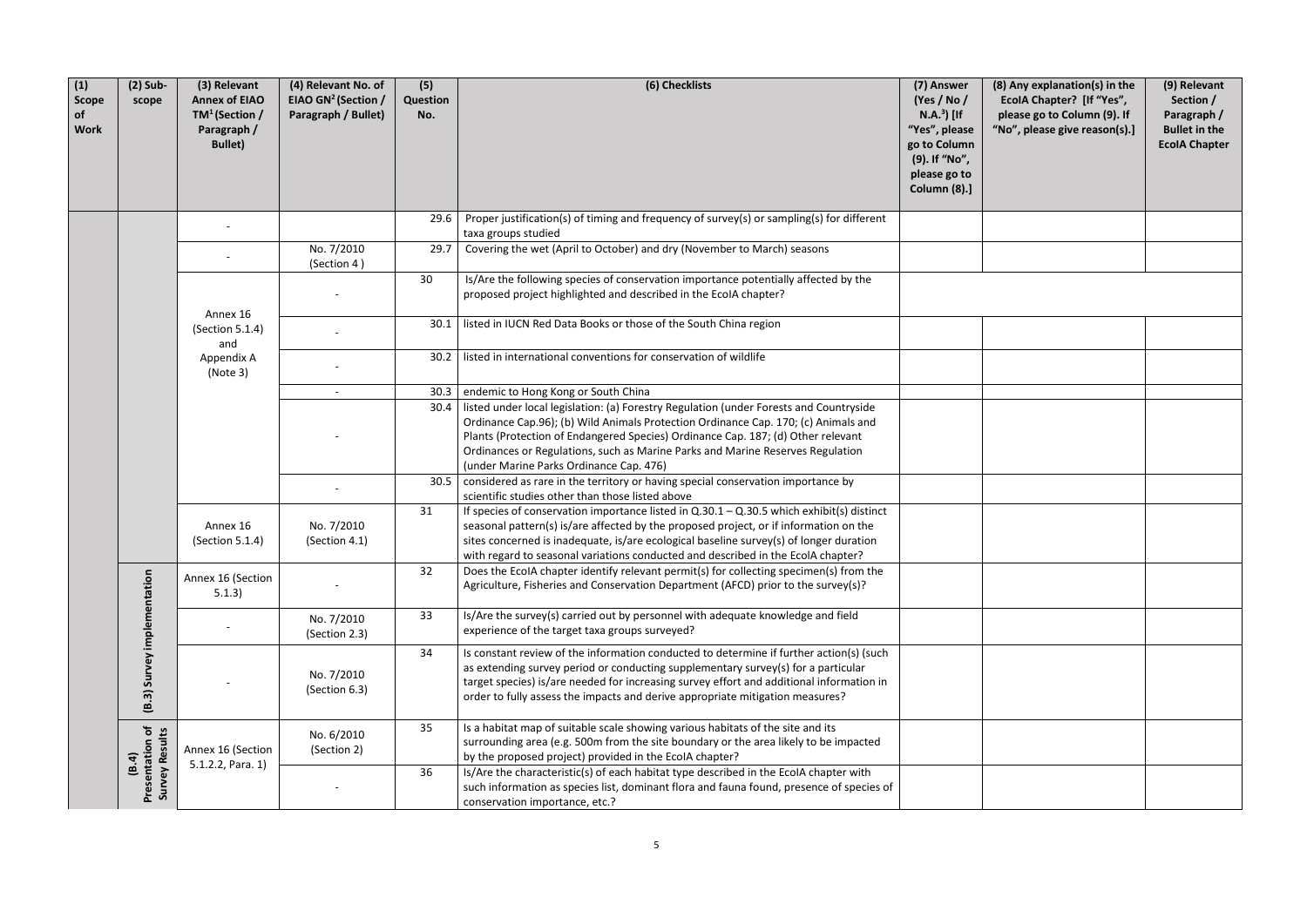| (1)<br>Scope<br>of<br><b>Work</b> | $(2)$ Sub-<br>scope                               | (3) Relevant<br><b>Annex of EIAO</b><br>$TM^1$ (Section /<br>Paragraph /<br><b>Bullet)</b> | (4) Relevant No. of<br>EIAO GN <sup>2</sup> (Section /<br>Paragraph / Bullet) | (5)<br>Question<br>No. | (6) Checklists                                                                                                                                                                                                                                                                                                                                                                                | (7) Answer<br>(Yes / No /<br>$N.A.3$ [If<br>"Yes", please<br>go to Column<br>(9). If "No",<br>please go to<br><b>Column (8).]</b> | (8) Any explanation(s) in the<br>EcolA Chapter? [If "Yes",<br>please go to Column (9). If<br>"No", please give reason(s).] | (9) Relevant<br>Section /<br>Paragraph /<br><b>Bullet in the</b><br><b>EcolA Chapter</b> |
|-----------------------------------|---------------------------------------------------|--------------------------------------------------------------------------------------------|-------------------------------------------------------------------------------|------------------------|-----------------------------------------------------------------------------------------------------------------------------------------------------------------------------------------------------------------------------------------------------------------------------------------------------------------------------------------------------------------------------------------------|-----------------------------------------------------------------------------------------------------------------------------------|----------------------------------------------------------------------------------------------------------------------------|------------------------------------------------------------------------------------------|
|                                   |                                                   |                                                                                            |                                                                               | 29.6                   | Proper justification(s) of timing and frequency of survey(s) or sampling(s) for different<br>taxa groups studied                                                                                                                                                                                                                                                                              |                                                                                                                                   |                                                                                                                            |                                                                                          |
|                                   |                                                   |                                                                                            | No. 7/2010<br>(Section 4)                                                     | 29.7                   | Covering the wet (April to October) and dry (November to March) seasons                                                                                                                                                                                                                                                                                                                       |                                                                                                                                   |                                                                                                                            |                                                                                          |
|                                   |                                                   |                                                                                            |                                                                               | 30                     | Is/Are the following species of conservation importance potentially affected by the<br>proposed project highlighted and described in the EcolA chapter?                                                                                                                                                                                                                                       |                                                                                                                                   |                                                                                                                            |                                                                                          |
|                                   |                                                   | Annex 16<br>(Section 5.1.4)<br>and                                                         |                                                                               | 30.1                   | listed in IUCN Red Data Books or those of the South China region                                                                                                                                                                                                                                                                                                                              |                                                                                                                                   |                                                                                                                            |                                                                                          |
|                                   |                                                   | Appendix A<br>(Note 3)                                                                     |                                                                               | 30.2                   | listed in international conventions for conservation of wildlife                                                                                                                                                                                                                                                                                                                              |                                                                                                                                   |                                                                                                                            |                                                                                          |
|                                   |                                                   |                                                                                            |                                                                               | 30.3                   | endemic to Hong Kong or South China                                                                                                                                                                                                                                                                                                                                                           |                                                                                                                                   |                                                                                                                            |                                                                                          |
|                                   |                                                   |                                                                                            |                                                                               | 30.4                   | listed under local legislation: (a) Forestry Regulation (under Forests and Countryside<br>Ordinance Cap.96); (b) Wild Animals Protection Ordinance Cap. 170; (c) Animals and<br>Plants (Protection of Endangered Species) Ordinance Cap. 187; (d) Other relevant<br>Ordinances or Regulations, such as Marine Parks and Marine Reserves Regulation<br>(under Marine Parks Ordinance Cap. 476) |                                                                                                                                   |                                                                                                                            |                                                                                          |
|                                   |                                                   |                                                                                            |                                                                               | 30.5                   | considered as rare in the territory or having special conservation importance by<br>scientific studies other than those listed above                                                                                                                                                                                                                                                          |                                                                                                                                   |                                                                                                                            |                                                                                          |
|                                   |                                                   | Annex 16<br>(Section 5.1.4)                                                                | No. 7/2010<br>(Section 4.1)                                                   | 31                     | If species of conservation importance listed in $Q.30.1 - Q.30.5$ which exhibit(s) distinct<br>seasonal pattern(s) is/are affected by the proposed project, or if information on the<br>sites concerned is inadequate, is/are ecological baseline survey(s) of longer duration<br>with regard to seasonal variations conducted and described in the EcolA chapter?                            |                                                                                                                                   |                                                                                                                            |                                                                                          |
|                                   |                                                   | Annex 16 (Section<br>5.1.3)                                                                |                                                                               | 32                     | Does the EcolA chapter identify relevant permit(s) for collecting specimen(s) from the<br>Agriculture, Fisheries and Conservation Department (AFCD) prior to the survey(s)?                                                                                                                                                                                                                   |                                                                                                                                   |                                                                                                                            |                                                                                          |
|                                   |                                                   |                                                                                            | No. 7/2010<br>(Section 2.3)                                                   | 33                     | Is/Are the survey(s) carried out by personnel with adequate knowledge and field<br>experience of the target taxa groups surveyed?                                                                                                                                                                                                                                                             |                                                                                                                                   |                                                                                                                            |                                                                                          |
|                                   | Survey implementation<br>(B.3)                    |                                                                                            | No. 7/2010<br>(Section 6.3)                                                   | 34                     | Is constant review of the information conducted to determine if further action(s) (such<br>as extending survey period or conducting supplementary survey(s) for a particular<br>target species) is/are needed for increasing survey effort and additional information in<br>order to fully assess the impacts and derive appropriate mitigation measures?                                     |                                                                                                                                   |                                                                                                                            |                                                                                          |
|                                   | <b>Presentation of</b><br>Survey Results<br>(B.4) | Annex 16 (Section<br>5.1.2.2, Para. 1)                                                     | No. 6/2010<br>(Section 2)                                                     | 35                     | Is a habitat map of suitable scale showing various habitats of the site and its<br>surrounding area (e.g. 500m from the site boundary or the area likely to be impacted<br>by the proposed project) provided in the EcolA chapter?                                                                                                                                                            |                                                                                                                                   |                                                                                                                            |                                                                                          |
|                                   |                                                   |                                                                                            |                                                                               | 36                     | Is/Are the characteristic(s) of each habitat type described in the EcoIA chapter with<br>such information as species list, dominant flora and fauna found, presence of species of<br>conservation importance, etc.?                                                                                                                                                                           |                                                                                                                                   |                                                                                                                            |                                                                                          |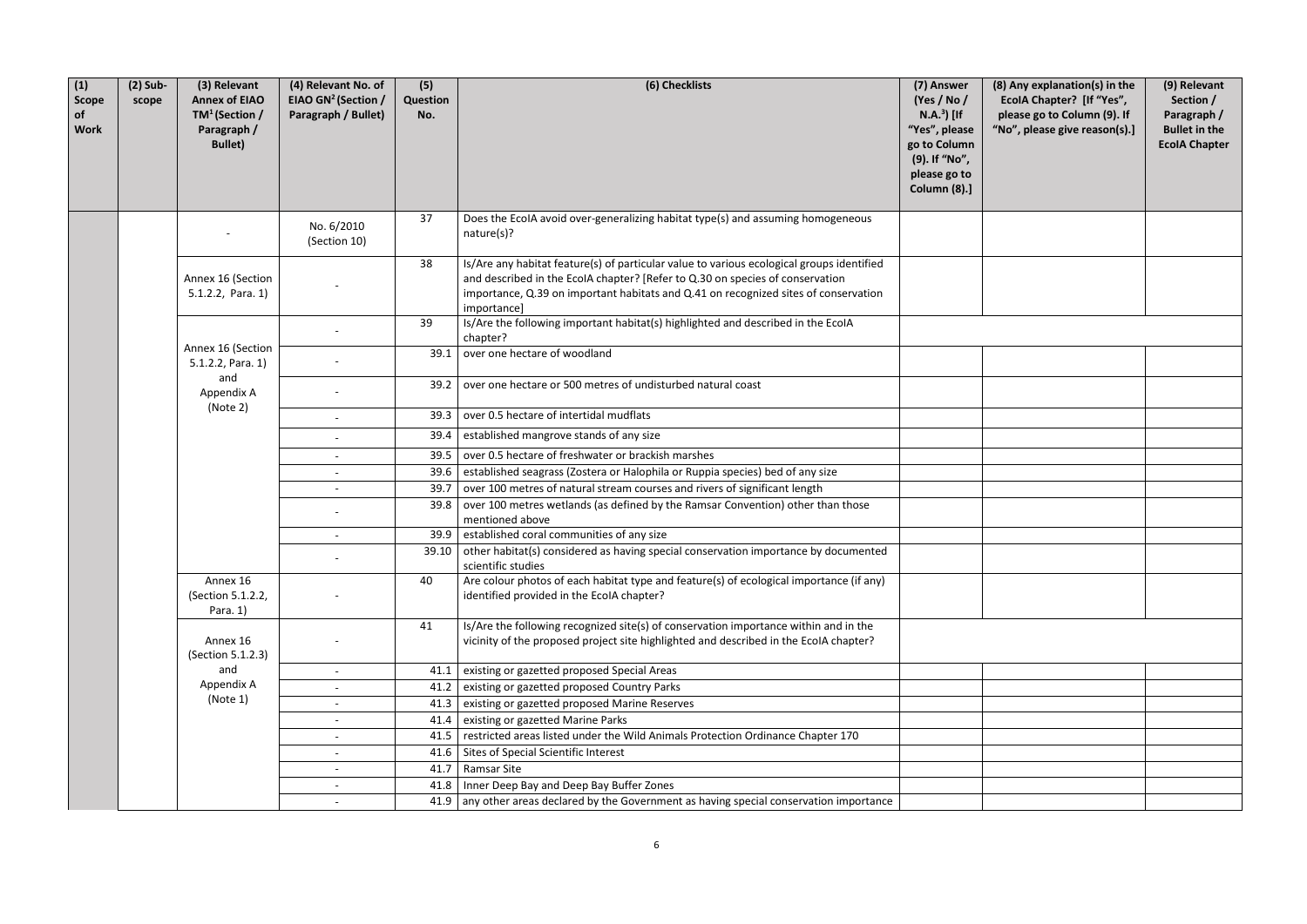| e<br>n<br>$\mathbf{c}$<br>l | (8) Any explanation(s) in the<br>EcolA Chapter? [If "Yes",<br>please go to Column (9). If<br>"No", please give reason(s).] | (9) Relevant<br>Section /<br>Paragraph /<br><b>Bullet in the</b><br><b>EcolA Chapter</b> |
|-----------------------------|----------------------------------------------------------------------------------------------------------------------------|------------------------------------------------------------------------------------------|
|                             |                                                                                                                            |                                                                                          |
|                             |                                                                                                                            |                                                                                          |
|                             |                                                                                                                            |                                                                                          |
|                             |                                                                                                                            |                                                                                          |
|                             |                                                                                                                            |                                                                                          |
|                             |                                                                                                                            |                                                                                          |
|                             |                                                                                                                            |                                                                                          |
|                             |                                                                                                                            |                                                                                          |
|                             |                                                                                                                            |                                                                                          |
|                             |                                                                                                                            |                                                                                          |
|                             |                                                                                                                            |                                                                                          |
|                             |                                                                                                                            |                                                                                          |
|                             |                                                                                                                            |                                                                                          |
|                             |                                                                                                                            |                                                                                          |
|                             |                                                                                                                            |                                                                                          |
|                             |                                                                                                                            |                                                                                          |
|                             |                                                                                                                            |                                                                                          |
|                             |                                                                                                                            |                                                                                          |
|                             |                                                                                                                            |                                                                                          |
|                             |                                                                                                                            |                                                                                          |
|                             |                                                                                                                            |                                                                                          |

| (1)<br><b>Scope</b><br>of<br><b>Work</b> | $(2)$ Sub-<br>scope           | (3) Relevant<br><b>Annex of EIAO</b><br>$TM^1$ (Section /<br>Paragraph /<br><b>Bullet)</b> | (4) Relevant No. of<br>EIAO GN <sup>2</sup> (Section /<br>Paragraph / Bullet) | (5)<br>Question<br>No.                  | (6) Checklists                                                                                                                                                                                                                                                                   | (7) Answer<br>(Yes / No /<br>$N.A.3$ [If<br>"Yes", please<br>go to Column<br>(9). If "No",<br>please go to<br><b>Column (8).]</b> | (8) Any explanation<br>EcolA Chapter? [If<br>please go to Colum<br>"No", please give re |
|------------------------------------------|-------------------------------|--------------------------------------------------------------------------------------------|-------------------------------------------------------------------------------|-----------------------------------------|----------------------------------------------------------------------------------------------------------------------------------------------------------------------------------------------------------------------------------------------------------------------------------|-----------------------------------------------------------------------------------------------------------------------------------|-----------------------------------------------------------------------------------------|
|                                          |                               |                                                                                            | No. 6/2010<br>(Section 10)                                                    | 37                                      | Does the EcolA avoid over-generalizing habitat type(s) and assuming homogeneous<br>nature(s)?                                                                                                                                                                                    |                                                                                                                                   |                                                                                         |
|                                          |                               | Annex 16 (Section<br>$5.1.2.2$ , Para. 1)                                                  |                                                                               | 38                                      | Is/Are any habitat feature(s) of particular value to various ecological groups identified<br>and described in the EcolA chapter? [Refer to Q.30 on species of conservation<br>importance, Q.39 on important habitats and Q.41 on recognized sites of conservation<br>importance] |                                                                                                                                   |                                                                                         |
|                                          |                               |                                                                                            |                                                                               | 39                                      | Is/Are the following important habitat(s) highlighted and described in the EcoIA<br>chapter?                                                                                                                                                                                     |                                                                                                                                   |                                                                                         |
|                                          |                               | Annex 16 (Section<br>$5.1.2.2$ , Para. 1)                                                  |                                                                               | 39.1                                    | over one hectare of woodland                                                                                                                                                                                                                                                     |                                                                                                                                   |                                                                                         |
|                                          | and<br>Appendix A<br>(Note 2) |                                                                                            |                                                                               | 39.2                                    | over one hectare or 500 metres of undisturbed natural coast                                                                                                                                                                                                                      |                                                                                                                                   |                                                                                         |
|                                          |                               |                                                                                            | 39.3                                                                          | over 0.5 hectare of intertidal mudflats |                                                                                                                                                                                                                                                                                  |                                                                                                                                   |                                                                                         |
|                                          |                               |                                                                                            |                                                                               | 39.4                                    | established mangrove stands of any size                                                                                                                                                                                                                                          |                                                                                                                                   |                                                                                         |
|                                          |                               |                                                                                            | $\overline{\phantom{a}}$                                                      | 39.5                                    | over 0.5 hectare of freshwater or brackish marshes                                                                                                                                                                                                                               |                                                                                                                                   |                                                                                         |
|                                          |                               |                                                                                            |                                                                               | 39.6                                    | established seagrass (Zostera or Halophila or Ruppia species) bed of any size                                                                                                                                                                                                    |                                                                                                                                   |                                                                                         |
|                                          |                               |                                                                                            |                                                                               | 39.7                                    | over 100 metres of natural stream courses and rivers of significant length                                                                                                                                                                                                       |                                                                                                                                   |                                                                                         |
|                                          |                               |                                                                                            |                                                                               | 39.8                                    | over 100 metres wetlands (as defined by the Ramsar Convention) other than those<br>mentioned above                                                                                                                                                                               |                                                                                                                                   |                                                                                         |
|                                          |                               |                                                                                            |                                                                               | 39.9                                    | established coral communities of any size                                                                                                                                                                                                                                        |                                                                                                                                   |                                                                                         |
|                                          |                               |                                                                                            |                                                                               | 39.10                                   | other habitat(s) considered as having special conservation importance by documented<br>scientific studies                                                                                                                                                                        |                                                                                                                                   |                                                                                         |
|                                          |                               | Annex 16<br>(Section 5.1.2.2,<br>Para. 1)                                                  |                                                                               | 40                                      | Are colour photos of each habitat type and feature(s) of ecological importance (if any)<br>identified provided in the EcolA chapter?                                                                                                                                             |                                                                                                                                   |                                                                                         |
|                                          |                               | Annex 16<br>(Section 5.1.2.3)                                                              |                                                                               | 41                                      | Is/Are the following recognized site(s) of conservation importance within and in the<br>vicinity of the proposed project site highlighted and described in the EcolA chapter?                                                                                                    |                                                                                                                                   |                                                                                         |
|                                          |                               | and                                                                                        |                                                                               | 41.1                                    | existing or gazetted proposed Special Areas                                                                                                                                                                                                                                      |                                                                                                                                   |                                                                                         |
|                                          |                               | Appendix A                                                                                 |                                                                               | 41.2                                    | existing or gazetted proposed Country Parks                                                                                                                                                                                                                                      |                                                                                                                                   |                                                                                         |
|                                          |                               | (Note 1)                                                                                   |                                                                               | 41.3                                    | existing or gazetted proposed Marine Reserves                                                                                                                                                                                                                                    |                                                                                                                                   |                                                                                         |
|                                          |                               |                                                                                            |                                                                               | 41.4                                    | existing or gazetted Marine Parks                                                                                                                                                                                                                                                |                                                                                                                                   |                                                                                         |
|                                          |                               |                                                                                            |                                                                               | 41.5                                    | restricted areas listed under the Wild Animals Protection Ordinance Chapter 170                                                                                                                                                                                                  |                                                                                                                                   |                                                                                         |
|                                          |                               |                                                                                            |                                                                               | 41.6                                    | Sites of Special Scientific Interest                                                                                                                                                                                                                                             |                                                                                                                                   |                                                                                         |
|                                          |                               |                                                                                            |                                                                               | 41.7                                    | <b>Ramsar Site</b>                                                                                                                                                                                                                                                               |                                                                                                                                   |                                                                                         |
|                                          |                               |                                                                                            |                                                                               | 41.8                                    | Inner Deep Bay and Deep Bay Buffer Zones                                                                                                                                                                                                                                         |                                                                                                                                   |                                                                                         |
|                                          |                               |                                                                                            |                                                                               | 41.9                                    | any other areas declared by the Government as having special conservation importance                                                                                                                                                                                             |                                                                                                                                   |                                                                                         |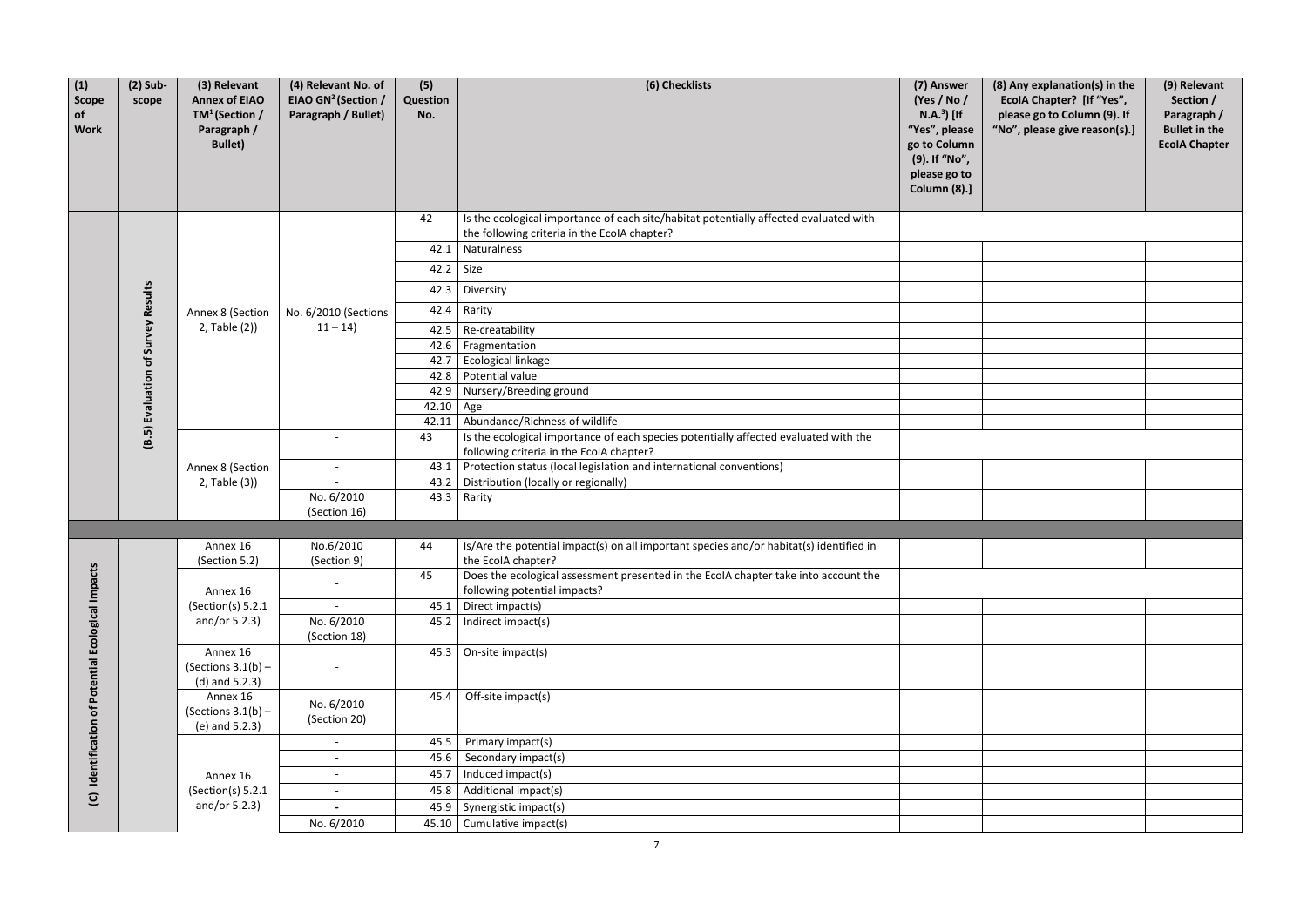| (1)<br><b>Scope</b><br>of<br><b>Work</b>       | $(2)$ Sub-<br>scope                | (3) Relevant<br><b>Annex of EIAO</b><br>TM <sup>1</sup> (Section /<br>Paragraph /<br><b>Bullet)</b> | (4) Relevant No. of<br>EIAO GN <sup>2</sup> (Section /<br>Paragraph / Bullet) | (5)<br>Question<br>No. | (6) Checklists                                                                                                                        | (7) Answer<br>(Yes / No /<br>$N.A.3$ [If<br>"Yes", please<br>go to Column<br>(9). If "No",<br>please go to<br>Column (8).] | (8) Any explanatio<br><b>EcolA Chapter?</b><br>please go to Colu<br>"No", please give |
|------------------------------------------------|------------------------------------|-----------------------------------------------------------------------------------------------------|-------------------------------------------------------------------------------|------------------------|---------------------------------------------------------------------------------------------------------------------------------------|----------------------------------------------------------------------------------------------------------------------------|---------------------------------------------------------------------------------------|
|                                                |                                    |                                                                                                     |                                                                               | 42                     | Is the ecological importance of each site/habitat potentially affected evaluated with<br>the following criteria in the EcolA chapter? |                                                                                                                            |                                                                                       |
|                                                |                                    |                                                                                                     |                                                                               | 42.1                   | Naturalness                                                                                                                           |                                                                                                                            |                                                                                       |
|                                                |                                    |                                                                                                     |                                                                               | 42.2                   | Size                                                                                                                                  |                                                                                                                            |                                                                                       |
|                                                |                                    |                                                                                                     |                                                                               | 42.3                   | Diversity                                                                                                                             |                                                                                                                            |                                                                                       |
|                                                |                                    | Annex 8 (Section                                                                                    | No. 6/2010 (Sections                                                          | 42.4                   | Rarity                                                                                                                                |                                                                                                                            |                                                                                       |
|                                                |                                    | 2, Table (2))                                                                                       | $11 - 14$                                                                     | 42.5                   | Re-creatability                                                                                                                       |                                                                                                                            |                                                                                       |
|                                                |                                    |                                                                                                     |                                                                               | 42.6                   | Fragmentation                                                                                                                         |                                                                                                                            |                                                                                       |
|                                                |                                    |                                                                                                     |                                                                               | 42.7                   | Ecological linkage                                                                                                                    |                                                                                                                            |                                                                                       |
|                                                |                                    |                                                                                                     |                                                                               | 42.8                   | Potential value                                                                                                                       |                                                                                                                            |                                                                                       |
|                                                |                                    |                                                                                                     |                                                                               | 42.9                   | Nursery/Breeding ground                                                                                                               |                                                                                                                            |                                                                                       |
|                                                |                                    |                                                                                                     |                                                                               | 42.10                  | $ $ Age                                                                                                                               |                                                                                                                            |                                                                                       |
|                                                |                                    |                                                                                                     |                                                                               | 42.11                  | Abundance/Richness of wildlife                                                                                                        |                                                                                                                            |                                                                                       |
|                                                | (B.5) Evaluation of Survey Results |                                                                                                     | $\sim$                                                                        | 43                     | Is the ecological importance of each species potentially affected evaluated with the<br>following criteria in the EcolA chapter?      |                                                                                                                            |                                                                                       |
|                                                |                                    | Annex 8 (Section                                                                                    | $\overline{\phantom{a}}$                                                      | 43.1                   | Protection status (local legislation and international conventions)                                                                   |                                                                                                                            |                                                                                       |
|                                                |                                    | 2, Table (3))                                                                                       |                                                                               | 43.2                   | Distribution (locally or regionally)                                                                                                  |                                                                                                                            |                                                                                       |
|                                                |                                    |                                                                                                     | No. 6/2010                                                                    | 43.3                   | Rarity                                                                                                                                |                                                                                                                            |                                                                                       |
|                                                |                                    |                                                                                                     | (Section 16)                                                                  |                        |                                                                                                                                       |                                                                                                                            |                                                                                       |
|                                                |                                    |                                                                                                     |                                                                               |                        |                                                                                                                                       |                                                                                                                            |                                                                                       |
|                                                |                                    | Annex 16<br>(Section 5.2)                                                                           | No.6/2010<br>(Section 9)                                                      | 44                     | Is/Are the potential impact(s) on all important species and/or habitat(s) identified in<br>the EcolA chapter?                         |                                                                                                                            |                                                                                       |
|                                                |                                    | Annex 16                                                                                            |                                                                               | 45                     | Does the ecological assessment presented in the EcoIA chapter take into account the<br>following potential impacts?                   |                                                                                                                            |                                                                                       |
|                                                |                                    | (Section(s) $5.2.1$                                                                                 |                                                                               | 45.1                   | Direct impact(s)                                                                                                                      |                                                                                                                            |                                                                                       |
|                                                |                                    | and/or $5.2.3$ )                                                                                    | No. 6/2010<br>(Section 18)                                                    |                        | 45.2   Indirect impact(s)                                                                                                             |                                                                                                                            |                                                                                       |
|                                                |                                    | Annex 16<br>(Sections $3.1(b)$ –<br>$(d)$ and 5.2.3)                                                |                                                                               | 45.3                   | On-site impact(s)                                                                                                                     |                                                                                                                            |                                                                                       |
| Identification of Potential Ecological Impacts |                                    | Annex 16<br>(Sections $3.1(b)$ –<br>(e) and 5.2.3)                                                  | No. 6/2010<br>(Section 20)                                                    | 45.4                   | Off-site impact(s)                                                                                                                    |                                                                                                                            |                                                                                       |
|                                                |                                    |                                                                                                     |                                                                               | 45.5                   | Primary impact(s)                                                                                                                     |                                                                                                                            |                                                                                       |
|                                                |                                    |                                                                                                     |                                                                               | 45.6                   | Secondary impact(s)                                                                                                                   |                                                                                                                            |                                                                                       |
|                                                |                                    | Annex 16                                                                                            |                                                                               | 45.7                   | Induced impact(s)                                                                                                                     |                                                                                                                            |                                                                                       |
|                                                |                                    | (Section(s) 5.2.1)                                                                                  | $\sim$                                                                        | 45.8                   | Additional impact(s)                                                                                                                  |                                                                                                                            |                                                                                       |
| $\overline{C}$                                 |                                    | and/or $5.2.3$ )                                                                                    |                                                                               | 45.9                   | Synergistic impact(s)                                                                                                                 |                                                                                                                            |                                                                                       |
|                                                |                                    |                                                                                                     | No. 6/2010                                                                    |                        | 45.10 Cumulative impact(s)                                                                                                            |                                                                                                                            |                                                                                       |
|                                                |                                    |                                                                                                     |                                                                               |                        | $\overline{7}$                                                                                                                        |                                                                                                                            |                                                                                       |

| er<br>$\overline{1}$<br>f<br>ase<br>mn<br>'n,<br>to<br>》)] | (8) Any explanation(s) in the<br>EcolA Chapter? [If "Yes",<br>please go to Column (9). If<br>"No", please give reason(s).] | (9) Relevant<br>Section /<br>Paragraph /<br><b>Bullet in the</b><br><b>EcolA Chapter</b> |
|------------------------------------------------------------|----------------------------------------------------------------------------------------------------------------------------|------------------------------------------------------------------------------------------|
|                                                            |                                                                                                                            |                                                                                          |
|                                                            |                                                                                                                            |                                                                                          |
|                                                            |                                                                                                                            |                                                                                          |
|                                                            |                                                                                                                            |                                                                                          |
|                                                            |                                                                                                                            |                                                                                          |
|                                                            |                                                                                                                            |                                                                                          |
|                                                            |                                                                                                                            |                                                                                          |
|                                                            |                                                                                                                            |                                                                                          |
|                                                            |                                                                                                                            |                                                                                          |
|                                                            |                                                                                                                            |                                                                                          |
|                                                            |                                                                                                                            |                                                                                          |
|                                                            |                                                                                                                            |                                                                                          |
|                                                            |                                                                                                                            |                                                                                          |
|                                                            |                                                                                                                            |                                                                                          |
|                                                            |                                                                                                                            |                                                                                          |
|                                                            |                                                                                                                            |                                                                                          |
|                                                            |                                                                                                                            |                                                                                          |
|                                                            |                                                                                                                            |                                                                                          |
|                                                            |                                                                                                                            |                                                                                          |
|                                                            |                                                                                                                            |                                                                                          |
|                                                            |                                                                                                                            |                                                                                          |
|                                                            |                                                                                                                            |                                                                                          |
|                                                            |                                                                                                                            |                                                                                          |
|                                                            |                                                                                                                            |                                                                                          |
|                                                            |                                                                                                                            |                                                                                          |
|                                                            |                                                                                                                            |                                                                                          |
|                                                            |                                                                                                                            |                                                                                          |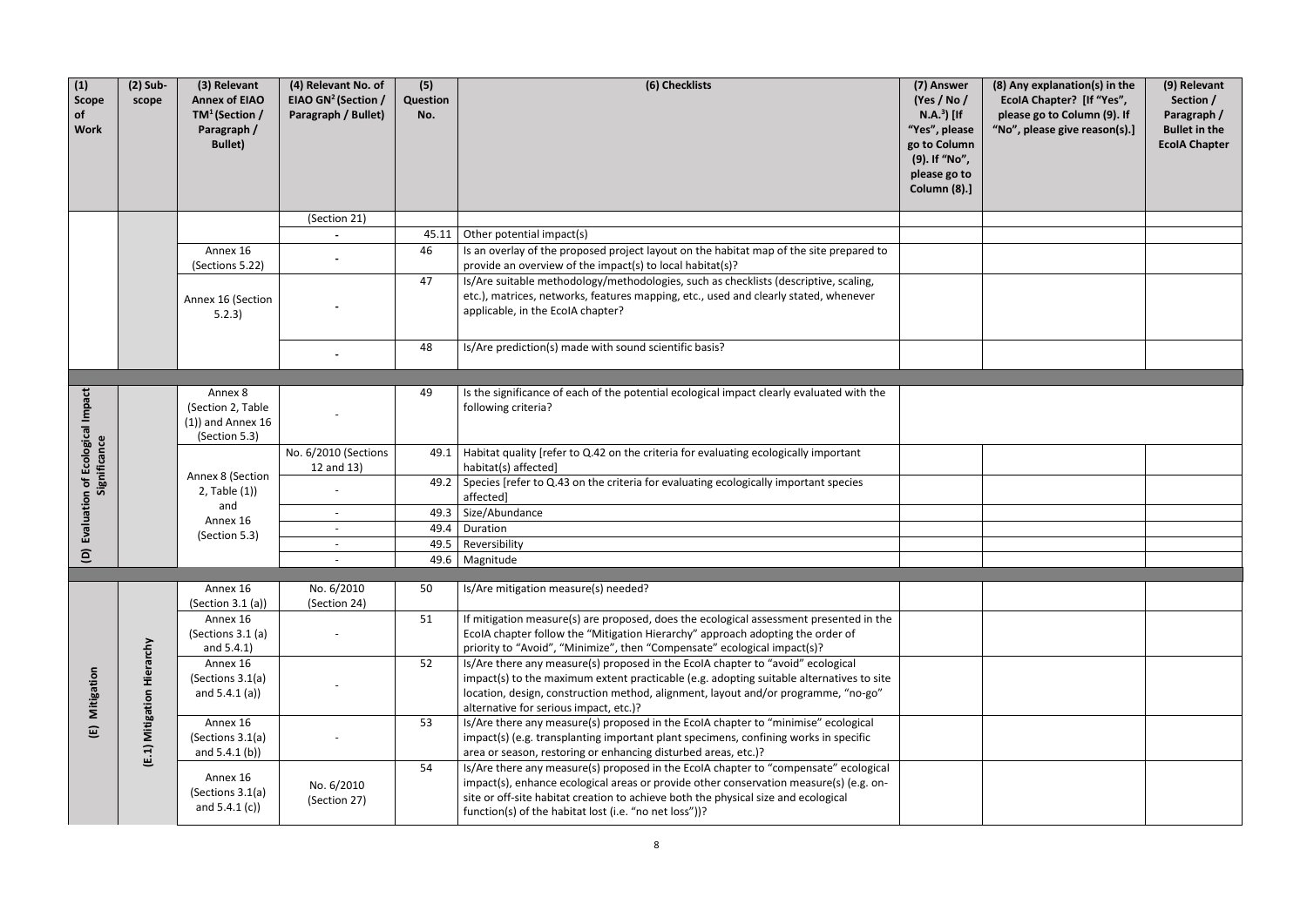| (1)<br>Scope<br>of<br><b>Work</b> | $(2)$ Sub-<br>scope | (3) Relevant<br><b>Annex of EIAO</b><br>$TM^1$ (Section /<br>Paragraph /<br><b>Bullet)</b> | (4) Relevant No. of<br>EIAO GN <sup>2</sup> (Section /<br>Paragraph / Bullet) | (5)<br>Question<br>No. | (6) Checklists                                                                                                                                                                                                                                                                                                                 | (7) Answer<br>(Yes / No /<br>$N.A.3$ [If<br>"Yes", please<br>go to Column<br>(9). If "No",<br>please go to<br><b>Column (8).]</b> | (8) Any explanation(s) in the<br>EcolA Chapter? [If "Yes",<br>please go to Column (9). If<br>"No", please give reason(s).] | (9) Relevant<br>Section /<br>Paragraph /<br><b>Bullet in the</b><br><b>EcolA Chapter</b> |
|-----------------------------------|---------------------|--------------------------------------------------------------------------------------------|-------------------------------------------------------------------------------|------------------------|--------------------------------------------------------------------------------------------------------------------------------------------------------------------------------------------------------------------------------------------------------------------------------------------------------------------------------|-----------------------------------------------------------------------------------------------------------------------------------|----------------------------------------------------------------------------------------------------------------------------|------------------------------------------------------------------------------------------|
|                                   |                     |                                                                                            | (Section 21)                                                                  |                        |                                                                                                                                                                                                                                                                                                                                |                                                                                                                                   |                                                                                                                            |                                                                                          |
|                                   |                     |                                                                                            |                                                                               | 45.11                  | Other potential impact(s)                                                                                                                                                                                                                                                                                                      |                                                                                                                                   |                                                                                                                            |                                                                                          |
|                                   |                     | Annex 16<br>(Sections 5.22)                                                                |                                                                               | 46                     | Is an overlay of the proposed project layout on the habitat map of the site prepared to<br>provide an overview of the impact(s) to local habitat(s)?                                                                                                                                                                           |                                                                                                                                   |                                                                                                                            |                                                                                          |
|                                   |                     | Annex 16 (Section<br>5.2.3)                                                                |                                                                               | 47                     | Is/Are suitable methodology/methodologies, such as checklists (descriptive, scaling,<br>etc.), matrices, networks, features mapping, etc., used and clearly stated, whenever<br>applicable, in the EcolA chapter?                                                                                                              |                                                                                                                                   |                                                                                                                            |                                                                                          |
|                                   |                     |                                                                                            |                                                                               | 48                     | Is/Are prediction(s) made with sound scientific basis?                                                                                                                                                                                                                                                                         |                                                                                                                                   |                                                                                                                            |                                                                                          |
|                                   |                     |                                                                                            |                                                                               |                        |                                                                                                                                                                                                                                                                                                                                |                                                                                                                                   |                                                                                                                            |                                                                                          |
| Ecological Impact                 |                     | Annex 8<br>(Section 2, Table<br>$(1)$ ) and Annex 16<br>(Section 5.3)                      |                                                                               | 49                     | Is the significance of each of the potential ecological impact clearly evaluated with the<br>following criteria?                                                                                                                                                                                                               |                                                                                                                                   |                                                                                                                            |                                                                                          |
| Significance                      |                     | Annex 8 (Section<br>$2$ , Table $(1)$<br>and<br>Annex 16<br>(Section 5.3)                  | No. 6/2010 (Sections<br>12 and 13)                                            | 49.1                   | Habitat quality [refer to Q.42 on the criteria for evaluating ecologically important<br>habitat(s) affected]                                                                                                                                                                                                                   |                                                                                                                                   |                                                                                                                            |                                                                                          |
| ð                                 |                     |                                                                                            |                                                                               |                        | 49.2 Species [refer to $Q.43$ on the criteria for evaluating ecologically important species<br>affected]                                                                                                                                                                                                                       |                                                                                                                                   |                                                                                                                            |                                                                                          |
| Evaluation                        |                     |                                                                                            |                                                                               |                        | 49.3   Size/Abundance                                                                                                                                                                                                                                                                                                          |                                                                                                                                   |                                                                                                                            |                                                                                          |
|                                   |                     |                                                                                            | $\overline{\phantom{a}}$                                                      | 49.4                   | Duration                                                                                                                                                                                                                                                                                                                       |                                                                                                                                   |                                                                                                                            |                                                                                          |
| $\widehat{a}$                     |                     |                                                                                            |                                                                               | 49.5                   | Reversibility                                                                                                                                                                                                                                                                                                                  |                                                                                                                                   |                                                                                                                            |                                                                                          |
|                                   |                     |                                                                                            | $\overline{\phantom{a}}$                                                      |                        | 49.6   Magnitude                                                                                                                                                                                                                                                                                                               |                                                                                                                                   |                                                                                                                            |                                                                                          |
|                                   |                     | Annex 16<br>(Section 3.1(a))                                                               | No. 6/2010<br>(Section 24)                                                    | 50                     | Is/Are mitigation measure(s) needed?                                                                                                                                                                                                                                                                                           |                                                                                                                                   |                                                                                                                            |                                                                                          |
|                                   |                     | Annex 16<br>(Sections 3.1 (a)<br>and 5.4.1)                                                |                                                                               | 51                     | If mitigation measure(s) are proposed, does the ecological assessment presented in the<br>EcolA chapter follow the "Mitigation Hierarchy" approach adopting the order of<br>priority to "Avoid", "Minimize", then "Compensate" ecological impact(s)?                                                                           |                                                                                                                                   |                                                                                                                            |                                                                                          |
| Mitigation                        | Hierarchy           | Annex 16<br>(Sections 3.1(a)<br>and $5.4.1$ (a))                                           |                                                                               | 52                     | Is/Are there any measure(s) proposed in the EcoIA chapter to "avoid" ecological<br>impact(s) to the maximum extent practicable (e.g. adopting suitable alternatives to site<br>location, design, construction method, alignment, layout and/or programme, "no-go"<br>alternative for serious impact, etc.)?                    |                                                                                                                                   |                                                                                                                            |                                                                                          |
| ίE                                | Mitigation<br>(E.1) | Annex 16<br>(Sections 3.1(a)<br>and $5.4.1$ (b))                                           |                                                                               | 53                     | Is/Are there any measure(s) proposed in the EcoIA chapter to "minimise" ecological<br>impact(s) (e.g. transplanting important plant specimens, confining works in specific<br>area or season, restoring or enhancing disturbed areas, etc.)?                                                                                   |                                                                                                                                   |                                                                                                                            |                                                                                          |
|                                   |                     | Annex 16<br>(Sections 3.1(a)<br>and $5.4.1(c)$                                             | No. 6/2010<br>(Section 27)                                                    | 54                     | Is/Are there any measure(s) proposed in the EcoIA chapter to "compensate" ecological<br>impact(s), enhance ecological areas or provide other conservation measure(s) (e.g. on-<br>site or off-site habitat creation to achieve both the physical size and ecological<br>function(s) of the habitat lost (i.e. "no net loss"))? |                                                                                                                                   |                                                                                                                            |                                                                                          |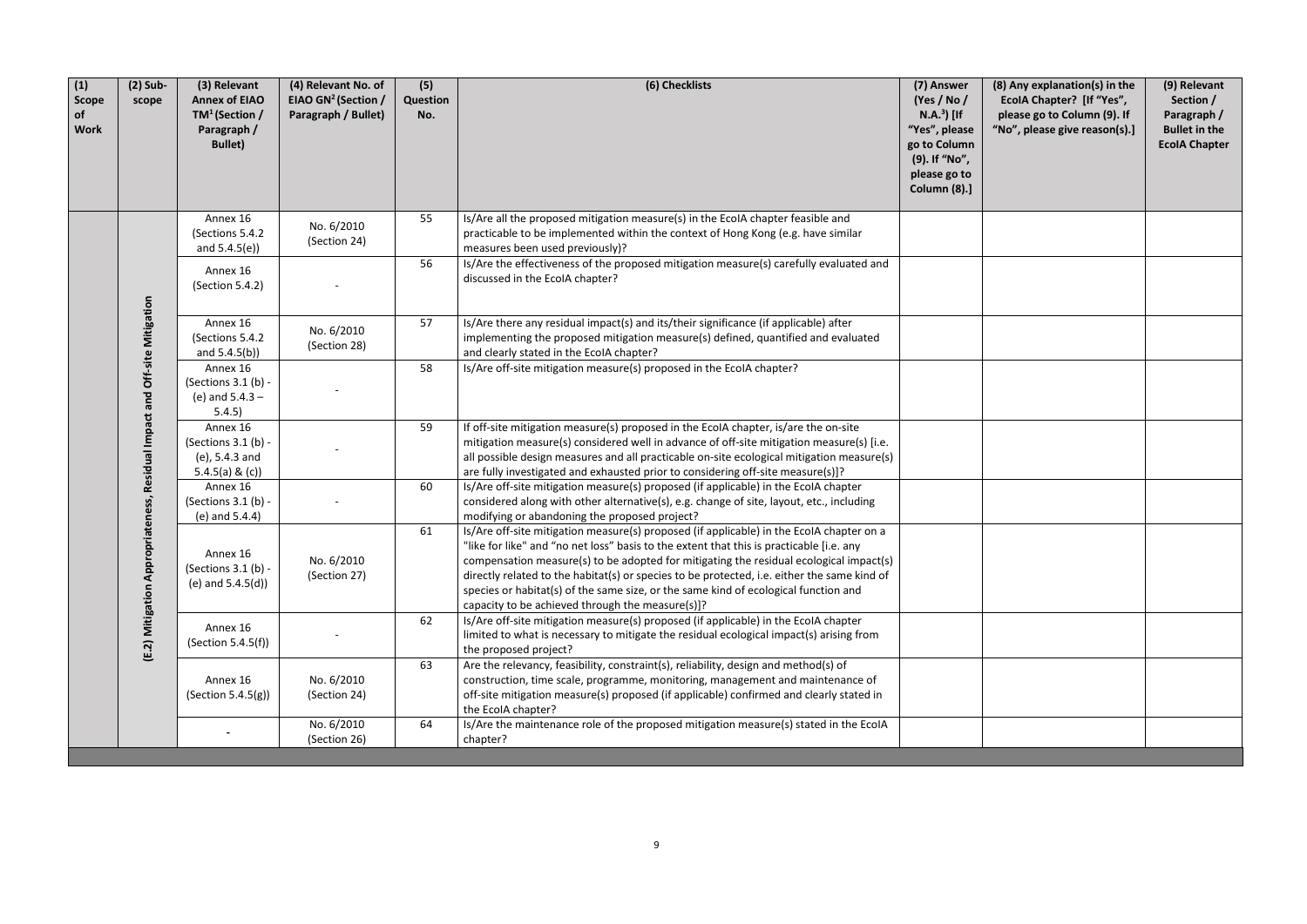| (8) Any explanation(s) in the<br>EcolA Chapter? [If "Yes",<br>please go to Column (9). If<br>"No", please give reason(s).] | (9) Relevant<br>Section /<br>Paragraph /<br><b>Bullet in the</b><br><b>EcolA Chapter</b> |
|----------------------------------------------------------------------------------------------------------------------------|------------------------------------------------------------------------------------------|
|                                                                                                                            |                                                                                          |
|                                                                                                                            |                                                                                          |
|                                                                                                                            |                                                                                          |
|                                                                                                                            |                                                                                          |
|                                                                                                                            |                                                                                          |
|                                                                                                                            |                                                                                          |
|                                                                                                                            |                                                                                          |
|                                                                                                                            |                                                                                          |
|                                                                                                                            |                                                                                          |
|                                                                                                                            |                                                                                          |

| (1)<br><b>Scope</b><br>of<br><b>Work</b> | $(2)$ Sub-<br>scope                                                       | (3) Relevant<br><b>Annex of EIAO</b><br>$TM^1$ (Section /<br>Paragraph /<br><b>Bullet)</b> | (4) Relevant No. of<br>EIAO GN <sup>2</sup> (Section /<br>Paragraph / Bullet) | (5)<br>Question<br>No. | (6) Checklists                                                                                                                                                                                                                                                                                                                                                                                                                                                                                                           | (7) Answer<br>(Yes / No /<br>$N.A.3$ [If<br>"Yes", please<br>go to Column<br>(9). If "No",<br>please go to<br>Column (8).] |
|------------------------------------------|---------------------------------------------------------------------------|--------------------------------------------------------------------------------------------|-------------------------------------------------------------------------------|------------------------|--------------------------------------------------------------------------------------------------------------------------------------------------------------------------------------------------------------------------------------------------------------------------------------------------------------------------------------------------------------------------------------------------------------------------------------------------------------------------------------------------------------------------|----------------------------------------------------------------------------------------------------------------------------|
|                                          | (E.2) Mitigation Appropriateness, Residual Impact and Off-site Mitigation | Annex 16<br>(Sections 5.4.2)<br>and $5.4.5(e)$                                             | No. 6/2010<br>(Section 24)                                                    | 55                     | Is/Are all the proposed mitigation measure(s) in the EcoIA chapter feasible and<br>practicable to be implemented within the context of Hong Kong (e.g. have similar<br>measures been used previously)?                                                                                                                                                                                                                                                                                                                   |                                                                                                                            |
|                                          |                                                                           | Annex 16<br>(Section 5.4.2)                                                                |                                                                               | 56                     | Is/Are the effectiveness of the proposed mitigation measure(s) carefully evaluated and<br>discussed in the EcolA chapter?                                                                                                                                                                                                                                                                                                                                                                                                |                                                                                                                            |
|                                          |                                                                           | Annex 16<br>(Sections 5.4.2)<br>and $5.4.5(b)$                                             | No. 6/2010<br>(Section 28)                                                    | 57                     | Is/Are there any residual impact(s) and its/their significance (if applicable) after<br>implementing the proposed mitigation measure(s) defined, quantified and evaluated<br>and clearly stated in the EcoIA chapter?                                                                                                                                                                                                                                                                                                    |                                                                                                                            |
|                                          |                                                                           | Annex 16<br>(Sections 3.1 (b) -<br>(e) and $5.4.3 -$<br>5.4.5)                             |                                                                               | 58                     | Is/Are off-site mitigation measure(s) proposed in the EcolA chapter?                                                                                                                                                                                                                                                                                                                                                                                                                                                     |                                                                                                                            |
|                                          |                                                                           | Annex 16<br>(Sections 3.1 (b) -<br>$(e)$ , 5.4.3 and<br>5.4.5(a) & $(c)$ )                 |                                                                               | 59                     | If off-site mitigation measure(s) proposed in the EcoIA chapter, is/are the on-site<br>mitigation measure(s) considered well in advance of off-site mitigation measure(s) [i.e.<br>all possible design measures and all practicable on-site ecological mitigation measure(s)<br>are fully investigated and exhausted prior to considering off-site measure(s)]?                                                                                                                                                          |                                                                                                                            |
|                                          |                                                                           | Annex 16<br>(Sections 3.1 (b) -<br>(e) and $5.4.4$ )                                       |                                                                               | 60                     | Is/Are off-site mitigation measure(s) proposed (if applicable) in the EcolA chapter<br>considered along with other alternative(s), e.g. change of site, layout, etc., including<br>modifying or abandoning the proposed project?                                                                                                                                                                                                                                                                                         |                                                                                                                            |
|                                          |                                                                           | Annex 16<br>(Sections 3.1 (b) -<br>(e) and $5.4.5(d)$ )                                    | No. 6/2010<br>(Section 27)                                                    | 61                     | Is/Are off-site mitigation measure(s) proposed (if applicable) in the EcolA chapter on a<br>"like for like" and "no net loss" basis to the extent that this is practicable [i.e. any<br>compensation measure(s) to be adopted for mitigating the residual ecological impact(s)<br>directly related to the habitat(s) or species to be protected, i.e. either the same kind of<br>species or habitat(s) of the same size, or the same kind of ecological function and<br>capacity to be achieved through the measure(s)]? |                                                                                                                            |
|                                          |                                                                           | Annex 16<br>(Section 5.4.5(f))                                                             |                                                                               | 62                     | Is/Are off-site mitigation measure(s) proposed (if applicable) in the EcolA chapter<br>limited to what is necessary to mitigate the residual ecological impact(s) arising from<br>the proposed project?                                                                                                                                                                                                                                                                                                                  |                                                                                                                            |
|                                          |                                                                           | Annex 16<br>(Section 5.4.5(g))                                                             | No. 6/2010<br>(Section 24)                                                    | 63                     | Are the relevancy, feasibility, constraint(s), reliability, design and method(s) of<br>construction, time scale, programme, monitoring, management and maintenance of<br>off-site mitigation measure(s) proposed (if applicable) confirmed and clearly stated in<br>the EcolA chapter?                                                                                                                                                                                                                                   |                                                                                                                            |
|                                          |                                                                           |                                                                                            | No. 6/2010<br>(Section 26)                                                    | 64                     | Is/Are the maintenance role of the proposed mitigation measure(s) stated in the EcoIA<br>chapter?                                                                                                                                                                                                                                                                                                                                                                                                                        |                                                                                                                            |